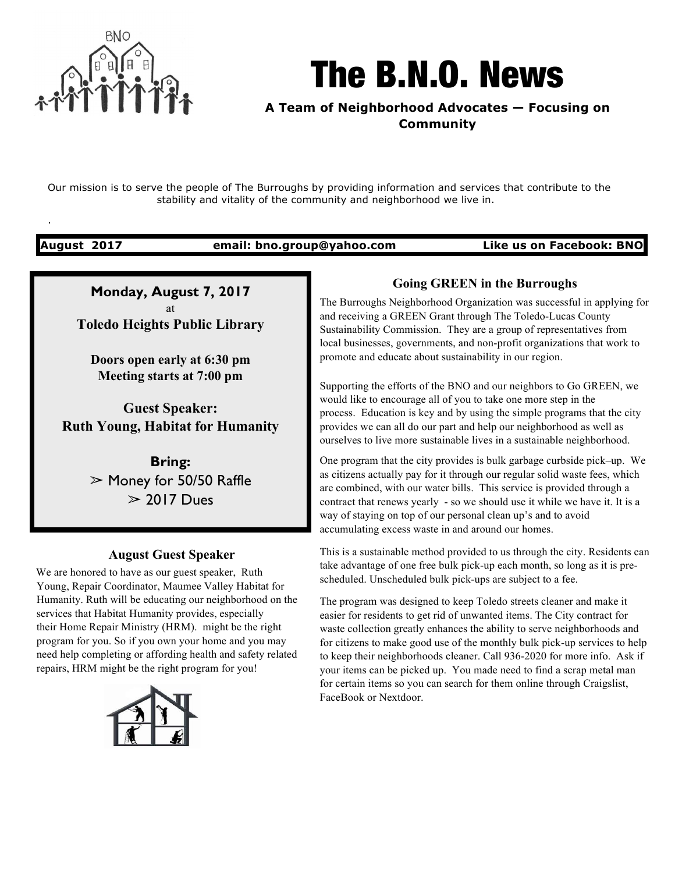

# The B.N.O. News

**A Team of Neighborhood Advocates — Focusing on Community**

Our mission is to serve the people of The Burroughs by providing information and services that contribute to the stability and vitality of the community and neighborhood we live in.

.

**August 2017 email: bno.group@yahoo.com Like us on Facebook: BNO**

**Monday, August 7, 2017** at **Toledo Heights Public Library**

**Doors open early at 6:30 pm Meeting starts at 7:00 pm**

**Guest Speaker: Ruth Young, Habitat for Humanity**

> **Bring:** ➢ Money for 50/50 Raffle  $> 2017$  Dues

## **August Guest Speaker**

We are honored to have as our guest speaker, Ruth Young, Repair Coordinator, Maumee Valley Habitat for Humanity. Ruth will be educating our neighborhood on the services that Habitat Humanity provides, especially their Home Repair Ministry (HRM). might be the right program for you. So if you own your home and you may need help completing or affording health and safety related repairs, HRM might be the right program for you!



# **Going GREEN in the Burroughs**

The Burroughs Neighborhood Organization was successful in applying for and receiving a GREEN Grant through The Toledo-Lucas County Sustainability Commission. They are a group of representatives from local businesses, governments, and non-profit organizations that work to promote and educate about sustainability in our region.

Supporting the efforts of the BNO and our neighbors to Go GREEN, we would like to encourage all of you to take one more step in the process. Education is key and by using the simple programs that the city provides we can all do our part and help our neighborhood as well as ourselves to live more sustainable lives in a sustainable neighborhood.

One program that the city provides is bulk garbage curbside pick–up. We as citizens actually pay for it through our regular solid waste fees, which are combined, with our water bills. This service is provided through a contract that renews yearly - so we should use it while we have it. It is a way of staying on top of our personal clean up's and to avoid accumulating excess waste in and around our homes.

This is a sustainable method provided to us through the city. Residents can take advantage of one free bulk pick-up each month, so long as it is prescheduled. Unscheduled bulk pick-ups are subject to a fee.

The program was designed to keep Toledo streets cleaner and make it easier for residents to get rid of unwanted items. The City contract for waste collection greatly enhances the ability to serve neighborhoods and for citizens to make good use of the monthly bulk pick-up services to help to keep their neighborhoods cleaner. Call 936-2020 for more info. Ask if your items can be picked up. You made need to find a scrap metal man for certain items so you can search for them online through Craigslist, FaceBook or Nextdoor.